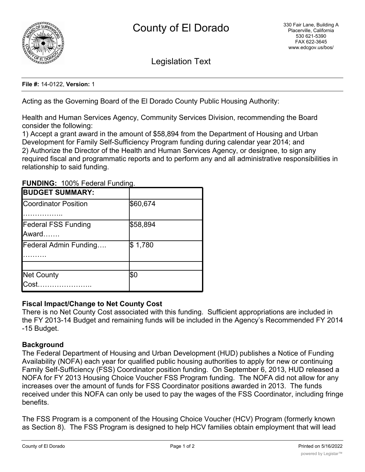

Legislation Text

#### **File #:** 14-0122, **Version:** 1

Acting as the Governing Board of the El Dorado County Public Housing Authority:

Health and Human Services Agency, Community Services Division, recommending the Board consider the following:

1) Accept a grant award in the amount of \$58,894 from the Department of Housing and Urban Development for Family Self-Sufficiency Program funding during calendar year 2014; and 2) Authorize the Director of the Health and Human Services Agency, or designee, to sign any required fiscal and programmatic reports and to perform any and all administrative responsibilities in relationship to said funding.

| <b>BUDGET SUMMARY:</b>     |          |  |
|----------------------------|----------|--|
|                            |          |  |
| Coordinator Position       | \$60,674 |  |
|                            |          |  |
|                            |          |  |
| <b>Federal FSS Funding</b> | \$58,894 |  |
| Award                      |          |  |
|                            |          |  |
| Federal Admin Funding      | \$1,780  |  |
|                            |          |  |
|                            |          |  |
| <b>Net County</b>          | \$0      |  |
| <b>I</b> Cost              |          |  |
|                            |          |  |

**FUNDING:** 100% Federal Funding.

# **Fiscal Impact/Change to Net County Cost**

There is no Net County Cost associated with this funding. Sufficient appropriations are included in the FY 2013-14 Budget and remaining funds will be included in the Agency's Recommended FY 2014 -15 Budget.

### **Background**

The Federal Department of Housing and Urban Development (HUD) publishes a Notice of Funding Availability (NOFA) each year for qualified public housing authorities to apply for new or continuing Family Self-Sufficiency (FSS) Coordinator position funding. On September 6, 2013, HUD released a NOFA for FY 2013 Housing Choice Voucher FSS Program funding. The NOFA did not allow for any increases over the amount of funds for FSS Coordinator positions awarded in 2013. The funds received under this NOFA can only be used to pay the wages of the FSS Coordinator, including fringe benefits.

The FSS Program is a component of the Housing Choice Voucher (HCV) Program (formerly known as Section 8). The FSS Program is designed to help HCV families obtain employment that will lead